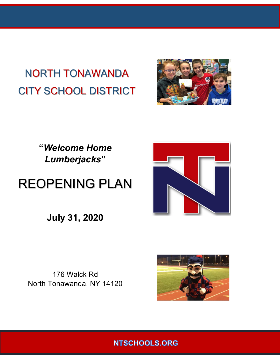NORTH TONAWANDA CITY SCHOOL DISTRICT



**"***Welcome Home Lumberjacks***"**

# REOPENING PLAN

**July 31, 2020**



176 Walck Rd North Tonawanda, NY 14120



NTSCHOOLS.ORG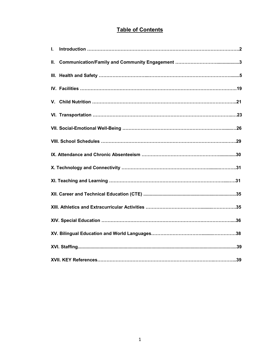# **Table of Contents**

| L.  |  |
|-----|--|
| II. |  |
|     |  |
|     |  |
|     |  |
|     |  |
|     |  |
|     |  |
|     |  |
|     |  |
|     |  |
|     |  |
|     |  |
|     |  |
|     |  |
|     |  |
|     |  |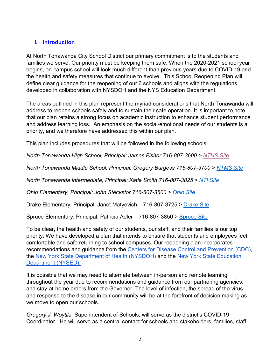# **I. Introduction**

At North Tonawanda City School District our primary commitment is to the students and families we serve. Our priority must be keeping them safe. When the 2020-2021 school year begins, on-campus school will look much different than previous years due to COVID-19 and the health and safety measures that continue to evolve. This School Reopening Plan will define clear guidance for the reopening of our 6 schools and aligns with the regulations developed in collaboration with NYSDOH and the NYS Education Department.

The areas outlined in this plan represent the myriad considerations that North Tonawanda will address to reopen schools safely and to sustain their safe operation. It is important to note that our plan retains a strong focus on academic instruction to enhance student performance and address learning loss. An emphasis on the social-emotional needs of our students is a priority, and we therefore have addressed this within our plan.

This plan includes procedures that will be followed in the following schools:

*North Tonawanda High School, Principal: James Fisher 716-807-3600 > [NTHS Site](https://www.ntschools.org/Domain/72)*

*North Tonawanda Middle School, Principal: Gregory Burgess 716-807-3700 > [NTMS Site](https://www.ntschools.org/Domain/151)*

*North Tonawanda Intermediate, Principal: Katie Smith 716-807-3825 > [NTI Site](https://www.ntschools.org/Domain/381)*

*Ohio Elementary, Principal: John Steckstor 716-807-3800 > [Ohio Site](https://www.ntschools.org/Domain/460)*

Drake Elementary, Principal: Janet Matyevich – 716-807-3725 > [Drake Site](https://www.ntschools.org/Domain/226)

Spruce Elementary, Principal: Patricia Adler – 716-807-3850 > [Spruce Site](https://www.ntschools.org/Domain/535)

To be clear, the health and safety of our students, our staff, and their families is our top priority. We have developed a plan that intends to ensure that students and employees feel comfortable and safe returning to school campuses. Our reopening plan incorporates recommendations and guidance from th[e](https://www.cdc.gov/coronavirus/2019-ncov/community/schools-childcare/index.html) Centers [for Disease Control and Prevention \(CDC\),](https://www.cdc.gov/coronavirus/2019-ncov/community/schools-childcare/index.html) th[e](http://www.nysed.gov/news/2020/state-education-department-issues-guidance-reopen-new-york-state-schools) [New York State Department of Health \(NYSDOH\)](https://www.governor.ny.gov/sites/governor.ny.gov/files/atoms/files/Pre-K_to_Grade_12_Schools_MasterGuidence.pdf) and the New York State Education [Department \(NYSED\).](http://www.nysed.gov/news/2020/state-education-department-issues-guidance-reopen-new-york-state-schools)

It is possible that we may need to alternate between in-person and remote learning throughout the year due to recommendations and guidance from our partnering agencies, and stay-at-home orders from the Governor. The level of infection, the spread of the virus and response to the disease in our community will be at the forefront of decision making as we move to open our schools.

*Gregory J. Woytila,* Superintendent of Schools, will serve as the district's COVID-19 Coordinator. He will serve as a central contact for schools and stakeholders, families, staff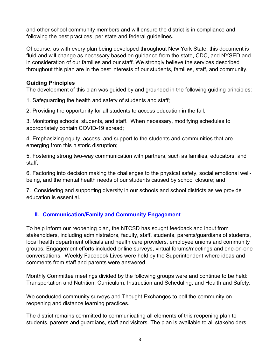and other school community members and will ensure the district is in compliance and following the best practices, per state and federal guidelines.

Of course, as with every plan being developed throughout New York State, this document is fluid and will change as necessary based on guidance from the state, CDC, and NYSED and in consideration of our families and our staff. We strongly believe the services described throughout this plan are in the best interests of our students, families, staff, and community.

## **Guiding Principles**

The development of this plan was guided by and grounded in the following guiding principles:

- 1. Safeguarding the health and safety of students and staff;
- 2. Providing the opportunity for all students to access education in the fall;

3. Monitoring schools, students, and staff. When necessary, modifying schedules to appropriately contain COVID-19 spread;

4. Emphasizing equity, access, and support to the students and communities that are emerging from this historic disruption;

5. Fostering strong two-way communication with partners, such as families, educators, and staff;

6. Factoring into decision making the challenges to the physical safety, social emotional wellbeing, and the mental health needs of our students caused by school closure; and

7. Considering and supporting diversity in our schools and school districts as we provide education is essential.

# **II. Communication/Family and Community Engagement**

To help inform our reopening plan, the NTCSD has sought feedback and input from stakeholders, including administrators, faculty, staff, students, parents/guardians of students, local health department officials and health care providers, employee unions and community groups. Engagement efforts included online surveys, virtual forums/meetings and one-on-one conversations. Weekly Facebook Lives were held by the Superintendent where ideas and comments from staff and parents were answered.

Monthly Committee meetings divided by the following groups were and continue to be held: Transportation and Nutrition, Curriculum, Instruction and Scheduling, and Health and Safety.

We conducted community surveys and Thought Exchanges to poll the community on reopening and distance learning practices.

The district remains committed to communicating all elements of this reopening plan to students, parents and guardians, staff and visitors. The plan is available to all stakeholders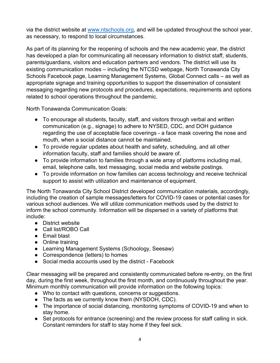via the district website at [www.ntschools.org,](http://www.ntschools.org/) and will be updated throughout the school year, as necessary, to respond to local circumstances.

As part of its planning for the reopening of schools and the new academic year, the district has developed a plan for communicating all necessary information to district staff, students, parents/guardians, visitors and education partners and vendors. The district will use its existing communication modes – including the NTCSD webpage, North Tonawanda City Schools Facebook page, Learning Management Systems, Global Connect calls – as well as appropriate signage and training opportunities to support the dissemination of consistent messaging regarding new protocols and procedures, expectations, requirements and options related to school operations throughout the pandemic.

North Tonawanda Communication Goals:

- To encourage all students, faculty, staff, and visitors through verbal and written communication (e.g., signage) to adhere to NYSED, CDC, and DOH guidance regarding the use of acceptable face coverings - a face mask covering the nose and mouth, when a social distance cannot be maintained.
- To provide regular updates about health and safety, scheduling, and all other information faculty, staff and families should be aware of.
- To provide information to families through a wide array of platforms including mail, email, telephone calls, text messaging, social media and website postings.
- To provide information on how families can access technology and receive technical support to assist with utilization and maintenance of equipment.

The North Tonawanda City School District developed communication materials, accordingly, including the creation of sample messages/letters for COVID-19 cases or potential cases for various school audiences. We will utilize communication methods used by the district to inform the school community. Information will be dispersed in a variety of platforms that include:

- District website
- Call list/ROBO Call
- Email blast
- Online training
- Learning Management Systems (Schoology, Seesaw)
- Correspondence (letters) to homes
- Social media accounts used by the district Facebook

Clear messaging will be prepared and consistently communicated before re-entry, on the first day, during the first week, throughout the first month, and continuously throughout the year. Minimum monthly communication will provide information on the following topics:

- Who to contact with questions, concerns or suggestions.
- The facts as we currently know them (NYSDOH, CDC).
- The importance of social distancing, monitoring symptoms of COVID-19 and when to stay home.
- Set protocols for entrance (screening) and the review process for staff calling in sick. Constant reminders for staff to stay home if they feel sick.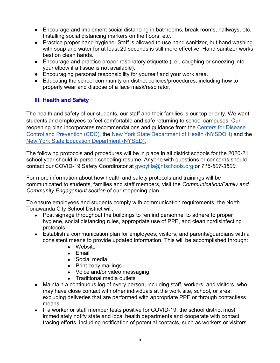- Encourage and implement social distancing in bathrooms, break rooms, hallways, etc. Installing social distancing markers on the floors, etc.
- Practice proper hand hygiene. Staff is allowed to use hand sanitizer, but hand washing with soap and water for at least 20 seconds is still more effective. Hand sanitizer works best on clean hands.
- Encourage and practice proper respiratory etiquette (i.e., coughing or sneezing into your elbow if a tissue is not available).
- Encouraging personal responsibility for yourself and your work area.
- Educating the school community on district policies/procedures, including how to properly wear and dispose of a face mask/respirator.

# **III. Health and Safety**

The health and safety of our students, our staff and their families is our top priority. We want students and employees to feel comfortable and safe returning to school campuses. Our reopening plan incorporates recommendations and guidance from th[e](https://www.cdc.gov/coronavirus/2019-ncov/community/schools-childcare/index.html) [Centers for Disease](https://www.cdc.gov/coronavirus/2019-ncov/community/schools-childcare/index.html)  [Control and Prevention \(CDC\),](https://www.cdc.gov/coronavirus/2019-ncov/community/schools-childcare/index.html) the [New York State Department of Health \(NYSDOH\)](https://www.governor.ny.gov/sites/governor.ny.gov/files/atoms/files/Pre-K_to_Grade_12_Schools_MasterGuidence.pdf) and th[e](http://www.nysed.gov/news/2020/state-education-department-issues-guidance-reopen-new-york-state-schools) [New York State Education Department \(NYSED\).](http://www.nysed.gov/news/2020/state-education-department-issues-guidance-reopen-new-york-state-schools)

The following protocols and procedures will be in place in all district schools for the 2020-21 school year should in-person schooling resume. Anyone with questions or concerns should contact our COVID-19 Safety Coordinator at [gwoytila@ntschools.org](mailto:gwoytila@ntschools.org) or *716-807-3500*.

For more information about how health and safety protocols and trainings will be communicated to students, families and staff members, visit the *Communication/Family and Community Engagement section* of our reopening plan.

To ensure employees and students comply with communication requirements, the North Tonawanda City School District will:

- Post signage throughout the buildings to remind personnel to adhere to proper hygiene, social distancing rules, appropriate use of PPE, and cleaning/disinfecting protocols.
- Establish a communication plan for employees, visitors, and parents/guardians with a consistent means to provide updated information. This will be accomplished through:
	- Website
	- Email
	- Social media
	- Print copy mailings
	- Voice and/or video messaging
	- Traditional media outlets
- Maintain a continuous log of every person, including staff, workers, and visitors, who may have close contact with other individuals at the work site, school, or area; excluding deliveries that are performed with appropriate PPE or through contactless means.
- If a worker or staff member tests positive for COVID-19, the school district must immediately notify state and local health departments and cooperate with contact tracing efforts, including notification of potential contacts, such as workers or visitors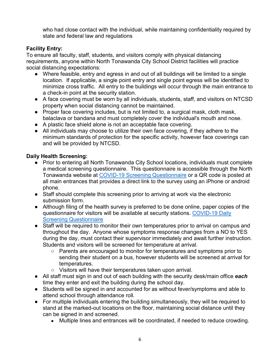who had close contact with the individual, while maintaining confidentiality required by state and federal law and regulations

# **Facility Entry:**

To ensure all faculty, staff, students, and visitors comply with physical distancing requirements, anyone within North Tonawanda City School District facilities will practice social distancing expectations:

- Where feasible, entry and egress in and out of all buildings will be limited to a single location. If applicable, a single point entry and single point egress will be identified to minimize cross traffic. All entry to the buildings will occur through the main entrance to a check-in point at the security station.
- A face covering must be worn by all individuals, students, staff, and visitors on NTCSD property when social distancing cannot be maintained.
- Proper face covering includes, but is not limited to, a surgical mask, cloth mask, balaclava or bandana and must completely cover the individual's mouth and nose.
- A plastic face shield alone is not an acceptable face covering.
- All individuals may choose to utilize their own face covering, if they adhere to the minimum standards of protection for the specific activity, however face coverings can and will be provided by NTCSD.

# **Daily Health Screening:**

- Prior to entering all North Tonawanda City School locations, individuals must complete a medical screening questionnaire. This questionnaire is accessible through the North Tonawanda website at [COVID-19 Screening Questionnaire](https://www.ntschools.org/domain/55) or a QR code is posted at all main entrances that provides a direct link to the survey using an iPhone or android phone.
- Staff should complete this screening prior to arriving at work via the electronic submission form.
- Although filing of the health survey is preferred to be done online, paper copies of the questionnaire for visitors will be available at security stations. [COVID-19 Daily](https://forms.office.com/Pages/ResponsePage.aspx?id=FchlF7Q7RE-i49nEKJqFriw9xHUe0jFEnag37pP-AllUOExOS1JNVjUxRzU5TDYzRTNNUlNTMVhEWS4u)  [Screening Questionnaire](https://forms.office.com/Pages/ResponsePage.aspx?id=FchlF7Q7RE-i49nEKJqFriw9xHUe0jFEnag37pP-AllUOExOS1JNVjUxRzU5TDYzRTNNUlNTMVhEWS4u)
- Staff will be required to monitor their own temperatures prior to arrival on campus and throughout the day. Anyone whose symptoms response changes from a NO to YES during the day, must contact their supervisor immediately and await further instruction. Students and visitors will be screened for temperature at arrival.
	- Parents are encouraged to monitor for temperatures and symptoms prior to sending their student on a bus, however students will be screened at arrival for temperatures.
	- Visitors will have their temperatures taken upon arrival.
- All staff must sign in and out of each building with the security desk/main office *each* time they enter and exit the building during the school day.
- Students will be signed in and accounted for as without fever/symptoms and able to attend school through attendance roll.
- For multiple individuals entering the building simultaneously, they will be required to stand at the marked-out locations on the floor, maintaining social distance until they can be signed in and screened.
	- Multiple lines and entrances will be coordinated, if needed to reduce crowding.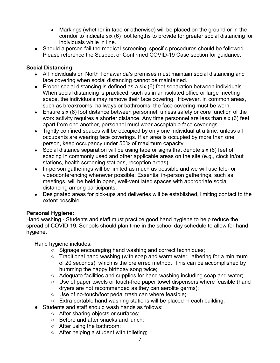- Markings (whether in tape or otherwise) will be placed on the ground or in the corridor to indicate six (6) foot lengths to provide for greater social distancing for individuals while in line.
- Should a person fail the medical screening, specific procedures should be followed. Please reference the Suspect or Confirmed COVID-19 Case section for guidance.

# **Social Distancing:**

- All individuals on North Tonawanda's premises must maintain social distancing and face covering when social distancing cannot be maintained.
- Proper social distancing is defined as a six (6) foot separation between individuals. When social distancing is practiced, such as in an isolated office or large meeting space, the individuals may remove their face covering. However, in common areas, such as breakrooms, hallways or bathrooms, the face covering must be worn.
- Ensure six (6) foot distance between personnel, unless safety or core function of the work activity requires a shorter distance. Any time personnel are less than six (6) feet apart from one another, personnel must wear acceptable face coverings.
- Tightly confined spaces will be occupied by only one individual at a time, unless all occupants are wearing face coverings. If an area is occupied by more than one person, keep occupancy under 50% of maximum capacity.
- $\bullet$  Social distance separation will be using tape or signs that denote six (6) feet of spacing in commonly used and other applicable areas on the site (e.g., clock in/out stations, health screening stations, reception areas).
- In-person gatherings will be limited as much as possible and we will use tele- or videoconferencing whenever possible. Essential in-person gatherings, such as meetings, will be held in open, well-ventilated spaces with appropriate social distancing among participants.
- Designated areas for pick-ups and deliveries will be established, limiting contact to the extent possible.

# **Personal Hygiene:**

Hand washing - Students and staff must practice good hand hygiene to help reduce the spread of COVID-19. Schools should plan time in the school day schedule to allow for hand hygiene.

Hand hygiene includes:

- Signage encouraging hand washing and correct techniques;
- Traditional hand washing (with soap and warm water, lathering for a minimum of 20 seconds), which is the preferred method. This can be accomplished by humming the happy birthday song twice;
- Adequate facilities and supplies for hand washing including soap and water;
- Use of paper towels or touch-free paper towel dispensers where feasible (hand dryers are not recommended as they can aerolite germs);
- Use of no-touch/foot pedal trash can where feasible;
- $\circ$  Extra portable hand washing stations will be placed in each building.
- Students and staff should wash hands as follows:
	- After sharing objects or surfaces;
	- Before and after snacks and lunch;
	- After using the bathroom;
	- $\circ$  After helping a student with toileting;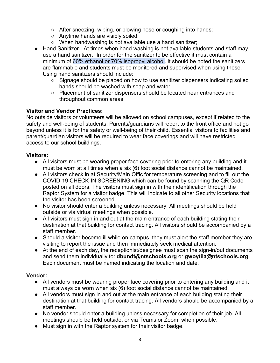- After sneezing, wiping, or blowing nose or coughing into hands;
- Anytime hands are visibly soiled;
- When handwashing is not available use a hand sanitizer;
- Hand Sanitizer At times when hand washing is not available students and staff may use a hand sanitizer. In order for the sanitizer to be effective it must contain a minimum of 60% ethanol or 70% isopropyl alcohol. It should be noted the sanitizers are flammable and students must be monitored and supervised when using these. Using hand sanitizers should include:
	- Signage should be placed on how to use sanitizer dispensers indicating soiled hands should be washed with soap and water;
	- Placement of sanitizer dispensers should be located near entrances and throughout common areas.

# **Visitor and Vendor Practices:**

No outside visitors or volunteers will be allowed on school campuses, except if related to the safety and well-being of students. Parents/guardians will report to the front office and not go beyond unless it is for the safety or well-being of their child. Essential visitors to facilities and parent/guardian visitors will be required to wear face coverings and will have restricted access to our school buildings.

# **Visitors:**

- All visitors must be wearing proper face covering prior to entering any building and it must be worn at all times when a six (6) foot social distance cannot be maintained.
- All visitors check in at Security/Main Offic for temperature screening and to fill out the COVID-19 CHECK-IN SCREENING which can be found by scanning the QR Code posted on all doors. The visitors must sign in with their identification through the Raptor System for a visitor badge. This will indicate to all other Security locations that the visitor has been screened.
- No visitor should enter a building unless necessary. All meetings should be held outside or via virtual meetings when possible.
- All visitors must sign in and out at the main entrance of each building stating their destination at that building for contact tracing. All visitors should be accompanied by a staff member.
- Should a visitor become ill while on campus, they must alert the staff member they are visiting to report the issue and then immediately seek medical attention.
- At the end of each day, the receptionist/designee must scan the sign-in/out documents and send them individually to: **dbundt@ntschools.org** or **gwoytila@ntschools.org**. Each document must be named indicating the location and date.

# **Vendor:**

- All vendors must be wearing proper face covering prior to entering any building and it must always be worn when six (6) foot social distance cannot be maintained.
- All vendors must sign in and out at the main entrance of each building stating their destination at that building for contact tracing. All vendors should be accompanied by a staff member.
- No vendor should enter a building unless necessary for completion of their job. All meetings should be held outside, or via Teams or Zoom, when possible.
- Must sign in with the Raptor system for their visitor badge.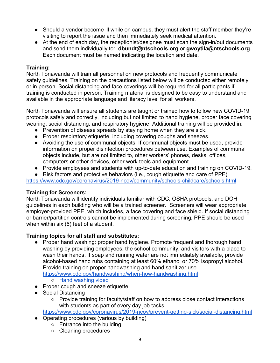- Should a vendor become ill while on campus, they must alert the staff member they're visiting to report the issue and then immediately seek medical attention.
- At the end of each day, the receptionist/designee must scan the sign-in/out documents and send them individually to: **dbundt@ntschools.org** or **gwoytila@ntschools.org**. Each document must be named indicating the location and date.

# **Training:**

North Tonawanda will train all personnel on new protocols and frequently communicate safety guidelines. Training on the precautions listed below will be conducted either remotely or in person. Social distancing and face coverings will be required for all participants if training is conducted in person. Training material is designed to be easy to understand and available in the appropriate language and literacy level for all workers.

North Tonawanda will ensure all students are taught or trained how to follow new COVID-19 protocols safely and correctly, including but not limited to hand hygiene, proper face covering wearing, social distancing, and respiratory hygiene. Additional training will be provided in:

- Prevention of disease spreads by staying home when they are sick.
- Proper respiratory etiquette, including covering coughs and sneezes.
- Avoiding the use of communal objects. If communal objects must be used, provide information on proper disinfection procedures between use. Examples of communal objects include, but are not limited to, other workers' phones, desks, offices, computers or other devices, other work tools and equipment.
- Provide employees and students with up-to-date education and training on COVID-19.

● Risk factors and protective behaviors (i.e., cough etiquette and care of PPE).

<https://www.cdc.gov/coronavirus/2019-ncov/community/schools-childcare/schools.html>

## **Training for Screeners:**

North Tonawanda will identify individuals familiar with CDC, OSHA protocols, and DOH guidelines in each building who will be a trained screener. Screeners will wear appropriate employer-provided PPE, which includes, a face covering and face shield. If social distancing or barrier/partition controls cannot be implemented during screening, PPE should be used when within six (6) feet of a student.

## **Training topics for all staff and substitutes:**

- Proper hand washing: proper hand hygiene. Promote frequent and thorough hand washing by providing employees, the school community, and visitors with a place to wash their hands. If soap and running water are not immediately available, provide alcohol-based hand rubs containing at least 60% ethanol or 70% isopropyl alcohol. Provide training on proper handwashing and hand sanitizer use <https://www.cdc.gov/handwashing/when-how-handwashing.html>
	- [Hand washing video](https://youtu.be/3PmVJQUCm4E)
- Proper cough and sneeze etiquette
- Social Distancing
	- Provide training for faculty/staff on how to address close contact interactions with students as part of every day job tasks.

<https://www.cdc.gov/coronavirus/2019-ncov/prevent-getting-sick/social-distancing.html>

- Operating procedures (various by building)
	- Entrance into the building
	- Cleaning procedures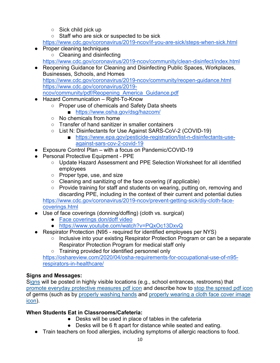- Sick child pick up
- Staff who are sick or suspected to be sick

<https://www.cdc.gov/coronavirus/2019-ncov/if-you-are-sick/steps-when-sick.html>

- Proper cleaning techniques ○ Cleaning and disinfecting <https://www.cdc.gov/coronavirus/2019-ncov/community/clean-disinfect/index.html>
- Reopening Guidance for Cleaning and Disinfecting Public Spaces, Workplaces, Businesses, Schools, and Homes <https://www.cdc.gov/coronavirus/2019-ncov/community/reopen-guidance.html> [https://www.cdc.gov/coronavirus/2019](https://www.cdc.gov/coronavirus/2019-ncov/community/pdf/Reopening_America_Guidance.pdf) [ncov/community/pdf/Reopening\\_America\\_Guidance.pdf](https://www.cdc.gov/coronavirus/2019-ncov/community/pdf/Reopening_America_Guidance.pdf)
- Hazard Communication Right-To-Know
	- Proper use of chemicals and Safety Data sheets
		- <https://www.osha.gov/dsg/hazcom/>
	- No chemicals from home
	- Transfer of hand sanitizer in smaller containers
	- List N: Disinfectants for Use Against SARS-CoV-2 (COVID-19)
		- [https://www.epa.gov/pesticide-registration/list-n-disinfectants-use](https://www.epa.gov/pesticide-registration/list-n-disinfectants-use-against-sars-cov-2-covid-19)[against-sars-cov-2-covid-19](https://www.epa.gov/pesticide-registration/list-n-disinfectants-use-against-sars-cov-2-covid-19)
- Exposure Control Plan with a focus on Pandemic/COVID-19
- Personal Protective Equipment PPE
	- Update Hazard Assessment and PPE Selection Worksheet for all identified employees
	- Proper type, use, and size
	- Cleaning and sanitizing of the face covering (if applicable)
	- Provide training for staff and students on wearing, putting on, removing and discarding PPE, including in the context of their current and potential duties [https://www.cdc.gov/coronavirus/2019-ncov/prevent-getting-sick/diy-cloth-face](https://www.cdc.gov/coronavirus/2019-ncov/prevent-getting-sick/diy-cloth-face-coverings.html)[coverings.html](https://www.cdc.gov/coronavirus/2019-ncov/prevent-getting-sick/diy-cloth-face-coverings.html)
- Use of face coverings (donning/doffing) (cloth vs. surgical)
	- [Face coverings don/doff video](https://youtu.be/z-5RYKLYvaw)
	- <https://www.youtube.com/watch?v=PQxOc13DxvQ>
- Respirator Protection (N95 required for identified employees per NYS)
	- Inclusive into your existing Respirator Protection Program or can be a separate Respirator Protection Program for medical staff only
	- Training provided for identified personnel only

[https://oshareview.com/2020/04/osha-requirements-for-occupational-use-of-n95](https://oshareview.com/2020/04/osha-requirements-for-occupational-use-of-n95-respirators-in-healthcare/) [respirators-in-healthcare/](https://oshareview.com/2020/04/osha-requirements-for-occupational-use-of-n95-respirators-in-healthcare/)

# **Signs and Messages:**

[Signs](https://www.cdc.gov/coronavirus/2019-ncov/communication/print-resources.html?Sort=Date%3A%3Adesc) will be posted in highly visible locations (e.g., school entrances, restrooms) that [promote everyday protective measures pdf icon](https://www.cdc.gov/coronavirus/2019-ncov/prevent-getting-sick/prevention-H.pdf) and describe how to [stop the spread pdf icon](https://www.cdc.gov/coronavirus/2019-ncov/downloads/stop-the-spread-of-germs-11x17-en.pdf) of germs (such as by [properly washing hands](https://www.cdc.gov/handwashing/posters.html) and [properly wearing a cloth face cover image](https://www.cdc.gov/coronavirus/2019-ncov/images/face-covering-checklist.jpg)  [icon\)](https://www.cdc.gov/coronavirus/2019-ncov/images/face-covering-checklist.jpg).

# **When Students Eat in Classrooms/Cafeteria:**

- Desks will be used in place of tables in the cafeteria
- Desks will be 6 ft apart for distance while seated and eating.
- Train teachers on food allergies, including symptoms of allergic reactions to food.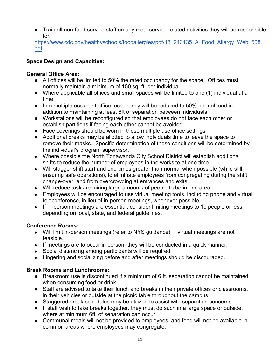● Train all non-food service staff on any meal service-related activities they will be responsible for.

[https://www.cdc.gov/healthyschools/foodallergies/pdf/13\\_243135\\_A\\_Food\\_Allergy\\_Web\\_508.](https://www.cdc.gov/healthyschools/foodallergies/pdf/13_243135_A_Food_Allergy_Web_508.pdf) [pdf](https://www.cdc.gov/healthyschools/foodallergies/pdf/13_243135_A_Food_Allergy_Web_508.pdf)

# **Space Design and Capacities:**

## **General Office Area:**

- All offices will be limited to 50% the rated occupancy for the space. Offices must normally maintain a minimum of 150 sq. ft. per individual.
- Where applicable all offices and small spaces will be limited to one (1) individual at a time.
- In a multiple occupant office, occupancy will be reduced to 50% normal load in addition to maintaining at least 6ft of separation between individuals.
- Workstations will be reconfigured so that employees do not face each other or establish partitions if facing each other cannot be avoided.
- Face coverings should be worn in these multiple use office settings.
- Additional breaks may be allotted to allow individuals time to leave the space to remove their masks. Specific determination of these conditions will be determined by the individual's program supervisor.
- Where possible the North Tonawanda City School District will establish additional shifts to reduce the number of employees in the worksite at one time.
- Will stagger shift start and end times greater than normal when possible (while still ensuring safe operations), to eliminate employees from congregating during the shift change-over, and from overcrowding at entrances and exits.
- Will reduce tasks requiring large amounts of people to be in one area.
- Employees will be encouraged to use virtual meeting tools, including phone and virtual teleconference, in lieu of in-person meetings, whenever possible.
- If in-person meetings are essential, consider limiting meetings to 10 people or less depending on local, state, and federal guidelines.

## **Conference Rooms:**

- Will limit in-person meetings (refer to NYS guidance), if virtual meetings are not feasible.
- If meetings are to occur in person, they will be conducted in a quick manner.
- Social distancing among participants will be required.
- Lingering and socializing before and after meetings should be discouraged.

# **Break Rooms and Lunchrooms:**

- Breakroom use is discontinued if a minimum of 6 ft. separation cannot be maintained when consuming food or drink.
- Staff are advised to take their lunch and breaks in their private offices or classrooms, in their vehicles or outside at the picnic table throughout the campus.
- Staggered break schedules may be utilized to assist with separation concerns.
- If staff wish to take breaks together, they must do such in a large space or outside, where at minimum 6ft. of separation can occur.
- Communal meals will not be provided to employees, and food will not be available in common areas where employees may congregate.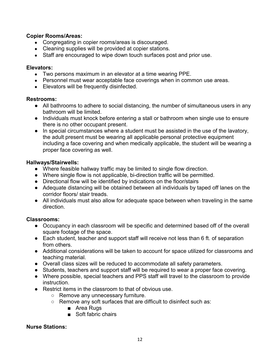## **Copier Rooms/Areas:**

- Congregating in copier rooms/areas is discouraged.
- Cleaning supplies will be provided at copier stations.
- Staff are encouraged to wipe down touch surfaces post and prior use.

#### **Elevators:**

- Two persons maximum in an elevator at a time wearing PPE.
- Personnel must wear acceptable face coverings when in common use areas.
- Elevators will be frequently disinfected.

#### **Restrooms:**

- All bathrooms to adhere to social distancing, the number of simultaneous users in any bathroom will be limited.
- Individuals must knock before entering a stall or bathroom when single use to ensure there is no other occupant present.
- In special circumstances where a student must be assisted in the use of the lavatory, the adult present must be wearing all applicable personal protective equipment including a face covering and when medically applicable, the student will be wearing a proper face covering as well.

## **Hallways/Stairwells:**

- Where feasible hallway traffic may be limited to single flow direction.
- Where single flow is not applicable, bi-direction traffic will be permitted.
- Directional flow will be identified by indications on the floor/stairs
- Adequate distancing will be obtained between all individuals by taped off lanes on the corridor floors/ stair treads.
- All individuals must also allow for adequate space between when traveling in the same direction.

#### **Classrooms:**

- Occupancy in each classroom will be specific and determined based off of the overall square footage of the space.
- Each student, teacher and support staff will receive not less than 6 ft. of separation from others.
- Additional considerations will be taken to account for space utilized for classrooms and teaching material.
- Overall class sizes will be reduced to accommodate all safety parameters.
- Students, teachers and support staff will be required to wear a proper face covering.
- Where possible, special teachers and PPS staff will travel to the classroom to provide instruction.
- Restrict items in the classroom to that of obvious use.
	- Remove any unnecessary furniture.
	- Remove any soft surfaces that are difficult to disinfect such as:
		- Area Rugs
		- Soft fabric chairs

## **Nurse Stations:**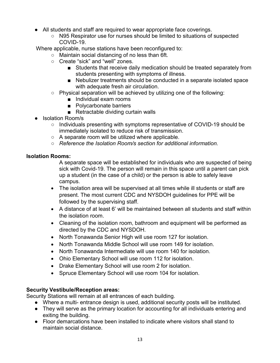- All students and staff are required to wear appropriate face coverings.
	- N95 Respirator use for nurses should be limited to situations of suspected COVID-19.

Where applicable, nurse stations have been reconfigured to:

- Maintain social distancing of no less than 6ft.
- Create "sick" and "well" zones.
	- Students that receive daily medication should be treated separately from students presenting with symptoms of illness.
	- Nebulizer treatments should be conducted in a separate isolated space with adequate fresh air circulation.
- Physical separation will be achieved by utilizing one of the following:
	- Individual exam rooms
	- Polycarbonate barriers
	- Retractable dividing curtain walls
- Isolation Room/s
	- Individuals presenting with symptoms representative of COVID-19 should be immediately isolated to reduce risk of transmission.
	- $\circ$  A separate room will be utilized where applicable.
	- *Reference the Isolation Room/s section for additional information.*

# **Isolation Rooms:**

A separate space will be established for individuals who are suspected of being sick with Covid-19. The person will remain in this space until a parent can pick up a student (in the case of a child) or the person is able to safely leave campus.

- The isolation area will be supervised at all times while ill students or staff are present. The most current CDC and NYSDOH guidelines for PPE will be followed by the supervising staff.
- A distance of at least 6' will be maintained between all students and staff within the isolation room.
- Cleaning of the isolation room, bathroom and equipment will be performed as directed by the CDC and NYSDOH.
- North Tonawanda Senior High will use room 127 for isolation.
- North Tonawanda Middle School will use room 149 for isolation.
- North Tonawanda Intermediate will use room 140 for isolation.
- Ohio Elementary School will use room 112 for isolation.
- Drake Elementary School will use room 2 for isolation.
- Spruce Elementary School will use room 104 for isolation.

# **Security Vestibule/Reception areas:**

Security Stations will remain at all entrances of each building.

- Where a multi- entrance design is used, additional security posts will be instituted.
- They will serve as the primary location for accounting for all individuals entering and exiting the building.
- Floor demarcations have been installed to indicate where visitors shall stand to maintain social distance.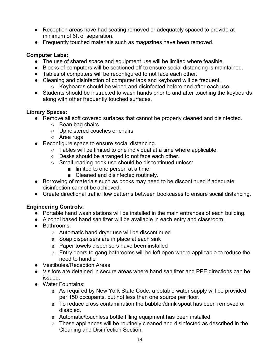- Reception areas have had seating removed or adequately spaced to provide at minimum of 6ft of separation.
- Frequently touched materials such as magazines have been removed.

## **Computer Labs:**

- The use of shared space and equipment use will be limited where feasible.
- Blocks of computers will be sectioned off to ensure social distancing is maintained.
- Tables of computers will be reconfigured to not face each other.
- Cleaning and disinfection of computer labs and keyboard will be frequent.
	- Keyboards should be wiped and disinfected before and after each use.
- Students should be instructed to wash hands prior to and after touching the keyboards along with other frequently touched surfaces.

## **Library Spaces:**

- Remove all soft covered surfaces that cannot be properly cleaned and disinfected.
	- Bean bag chairs
	- Upholstered couches or chairs
	- Area rugs
- Reconfigure space to ensure social distancing.
	- Tables will be limited to one individual at a time where applicable.
	- Desks should be arranged to not face each other.
	- Small reading nook use should be discontinued unless:
		- limited to one person at a time.
		- Cleaned and disinfected routinely.
- Borrowing of materials such as books may need to be discontinued if adequate disinfection cannot be achieved.
- Create directional traffic flow patterns between bookcases to ensure social distancing.

## **Engineering Controls:**

- Portable hand wash stations will be installed in the main entrances of each building.
- Alcohol based hand sanitizer will be available in each entry and classroom.
- Bathrooms:
	- ∉ Automatic hand dryer use will be discontinued
	- ∉ Soap dispensers are in place at each sink
	- ∉ Paper towels dispensers have been installed
	- $\epsilon$  Entry doors to gang bathrooms will be left open where applicable to reduce the need to handle
- Vestibules/Reception Areas
- Visitors are detained in secure areas where hand sanitizer and PPE directions can be issued.
- Water Fountains:
	- $\epsilon$  As required by New York State Code, a potable water supply will be provided per 150 occupants, but not less than one source per floor.
	- ∉ To reduce cross contamination the bubbler/drink spout has been removed or disabled.
	- $\epsilon$  Automatic/touchless bottle filling equipment has been installed.
	- $\epsilon$  These appliances will be routinely cleaned and disinfected as described in the Cleaning and Disinfection Section.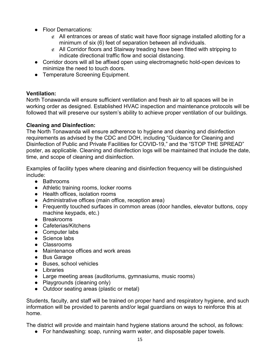- Floor Demarcations:
	- ∉ All entrances or areas of static wait have floor signage installed allotting for a minimum of six (6) feet of separation between all individuals.
	- ∉ All Corridor floors and Stairway treading have been fitted with stripping to indicate directional traffic flow and social distancing.
- Corridor doors will all be affixed open using electromagnetic hold-open devices to minimize the need to touch doors.
- Temperature Screening Equipment.

# **Ventilation:**

North Tonawanda will ensure sufficient ventilation and fresh air to all spaces will be in working order as designed. Established HVAC inspection and maintenance protocols will be followed that will preserve our system's ability to achieve proper ventilation of our buildings.

# **Cleaning and Disinfection:**

The North Tonawanda will ensure adherence to hygiene and cleaning and disinfection requirements as advised by the CDC and DOH, including "Guidance for Cleaning and Disinfection of Public and Private Facilities for COVID-19," and the "STOP THE SPREAD" poster, as applicable. Cleaning and disinfection logs will be maintained that include the date, time, and scope of cleaning and disinfection.

Examples of facility types where cleaning and disinfection frequency will be distinguished include:

- Bathrooms
- Athletic training rooms, locker rooms
- Health offices, isolation rooms
- Administrative offices (main office, reception area)
- Frequently touched surfaces in common areas (door handles, elevator buttons, copy machine keypads, etc.)
- Breakrooms
- Cafeterias/Kitchens
- Computer labs
- Science labs
- Classrooms
- Maintenance offices and work areas
- Bus Garage
- Buses, school vehicles
- Libraries
- Large meeting areas (auditoriums, gymnasiums, music rooms)
- Playgrounds (cleaning only)
- Outdoor seating areas (plastic or metal)

Students, faculty, and staff will be trained on proper hand and respiratory hygiene, and such information will be provided to parents and/or legal guardians on ways to reinforce this at home.

The district will provide and maintain hand hygiene stations around the school, as follows:

● For handwashing: soap, running warm water, and disposable paper towels.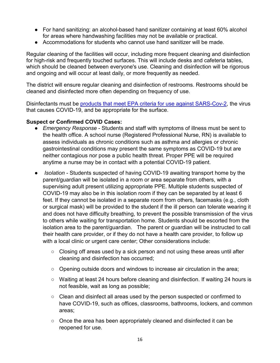- For hand sanitizing: an alcohol-based hand sanitizer containing at least 60% alcohol for areas where handwashing facilities may not be available or practical.
- Accommodations for students who cannot use hand sanitizer will be made.

Regular cleaning of the facilities will occur, including more frequent cleaning and disinfection for high-risk and frequently touched surfaces. This will include desks and cafeteria tables, which should be cleaned between everyone's use. Cleaning and disinfection will be rigorous and ongoing and will occur at least daily, or more frequently as needed.

The district will ensure regular cleaning and disinfection of restrooms. Restrooms should be cleaned and disinfected more often depending on frequency of use.

Disinfectants must be [products that meet EPA criteria for use against SARS-Cov-2,](https://www.epa.gov/pesticide-registration/list-n-disinfectants-use-against-sars-cov-2) the virus that causes COVID-19, and be appropriate for the surface.

## **Suspect or Confirmed COVID Cases:**

- *Emergency Response* Students and staff with symptoms of illness must be sent to the health office. A school nurse (Registered Professional Nurse, RN) is available to assess individuals as chronic conditions such as asthma and allergies or chronic gastrointestinal conditions may present the same symptoms as COVID-19 but are neither contagious nor pose a public health threat. Proper PPE will be required anytime a nurse may be in contact with a potential COVID-19 patient.
- *Isolation* Students suspected of having COVID-19 awaiting transport home by the parent/guardian will be isolated in a room or area separate from others, with a supervising adult present utilizing appropriate PPE. Multiple students suspected of COVID-19 may also be in this isolation room if they can be separated by at least 6 feet. If they cannot be isolated in a separate room from others, facemasks (e.g., cloth or surgical mask) will be provided to the student if the ill person can tolerate wearing it and does not have difficulty breathing, to prevent the possible transmission of the virus to others while waiting for transportation home. Students should be escorted from the isolation area to the parent/guardian. The parent or guardian will be instructed to call their health care provider, or if they do not have a health care provider, to follow up with a local clinic or urgent care center; Other considerations include:
	- Closing off areas used by a sick person and not using these areas until after cleaning and disinfection has occurred;
	- Opening outside doors and windows to increase air circulation in the area;
	- Waiting at least 24 hours before cleaning and disinfection. If waiting 24 hours is not feasible, wait as long as possible;
	- Clean and disinfect all areas used by the person suspected or confirmed to have COVID-19, such as offices, classrooms, bathrooms, lockers, and common areas;
	- $\circ$  Once the area has been appropriately cleaned and disinfected it can be reopened for use.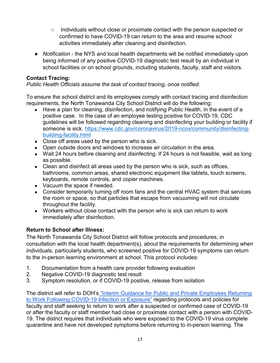- Individuals without close or proximate contact with the person suspected or confirmed to have COVID-19 can return to the area and resume school activities immediately after cleaning and disinfection.
- *Notification* the NYS and local health departments will be notified immediately upon being informed of any positive COVID-19 diagnostic test result by an individual in school facilities or on school grounds, including students, faculty, staff and visitors.

# **Contact Tracing:**

*Public Health Officials assume the task of contact tracing, once notified.*

To ensure the school district and its employees comply with contact tracing and disinfection requirements, the North Tonawanda City School District will do the following:

- Have a plan for cleaning, disinfection, and notifying Public Health, in the event of a positive case. In the case of an employee testing positive for COVID-19, CDC guidelines will be followed regarding cleaning and disinfecting your building or facility if someone is sick. [https://www.cdc.gov/coronavirus/2019-ncov/community/disinfecting](https://www.cdc.gov/coronavirus/2019-ncov/community/disinfecting-building-facility.html)[building-facility.html](https://www.cdc.gov/coronavirus/2019-ncov/community/disinfecting-building-facility.html)
- Close off areas used by the person who is sick.
- Open outside doors and windows to increase air circulation in the area.
- Wait 24 hours before cleaning and disinfecting. If 24 hours is not feasible, wait as long as possible.
- Clean and disinfect all areas used by the person who is sick, such as offices, bathrooms, common areas, shared electronic equipment like tablets, touch screens, keyboards, remote controls, and copier machines.
- Vacuum the space if needed.
- Consider temporarily turning off room fans and the central HVAC system that services the room or space, so that particles that escape from vacuuming will not circulate throughout the facility.
- Workers without close contact with the person who is sick can return to work immediately after disinfection.

# **Return to School after Illness:**

The North Tonawanda City School District will follow protocols and procedures, in consultation with the local health department(s), about the requirements for determining when individuals, particularly students, who screened positive for COVID-19 symptoms can return to the in-person learning environment at school. This protocol includes:

- 1. Documentation from a health care provider following evaluation
- 2. Negative COVID-19 diagnostic test result
- 3. Symptom resolution, or if COVID-19 positive, release from isolation

The district will refer to DOH's ["Interim Guidance for Public and Private Employees Returning](https://coronavirus.health.ny.gov/system/files/documents/2020/06/doh_covid19_publicprivateemployeereturntowork_053120.pdf)  [to Work Following COVID-19 Infection or Exposure"](https://coronavirus.health.ny.gov/system/files/documents/2020/06/doh_covid19_publicprivateemployeereturntowork_053120.pdf) regarding protocols and policies for faculty and staff seeking to return to work after a suspected or confirmed case of COVID-19 or after the faculty or staff member had close or proximate contact with a person with COVID-19. The district requires that individuals who were exposed to the COVID-19 virus complete quarantine and have not developed symptoms before returning to in-person learning. The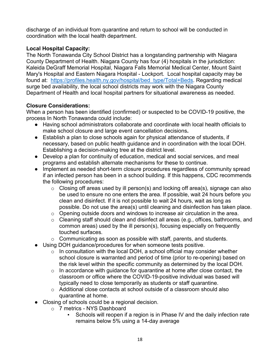discharge of an individual from quarantine and return to school will be conducted in coordination with the local health department.

## **Local Hospital Capacity:**

The North Tonawanda City School District has a longstanding partnership with Niagara County Department of Health. Niagara County has four (4) hospitals in the jurisdiction: Kaleida DeGraff Memorial Hospital, Niagara Falls Memorial Medical Center, Mount Saint Mary's Hospital and Eastern Niagara Hospital - Lockport. Local hospital capacity may be found at: [https://profiles.health.ny.gov/hospital/bed\\_type/Total+Beds.](https://profiles.health.ny.gov/hospital/bed_type/Total+Beds) Regarding medical surge bed availability, the local school districts may work with the Niagara County Department of Health and local hospital partners for situational awareness as needed.

# **Closure Considerations:**

When a person has been identified (confirmed) or suspected to be COVID-19 positive, the process In North Tonawanda could include:

- Having school administrators collaborate and coordinate with local health officials to make school closure and large event cancellation decisions**.**
- Establish a plan to close schools again for physical attendance of students, if necessary, based on public health guidance and in coordination with the local DOH. Establishing a decision-making tree at the district level.
- Develop a plan for continuity of education, medical and social services, and meal programs and establish alternate mechanisms for these to continue.
- Implement as needed short-term closure procedures regardless of community spread if an infected person has been in a school building. If this happens, CDC recommends the following procedures:
	- $\circ$  Closing off areas used by ill person(s) and locking off area(s), signage can also be used to ensure no one enters the area. If possible, wait 24 hours before you clean and disinfect. If it is not possible to wait 24 hours, wait as long as possible. Do not use the area(s) until cleaning and disinfection has taken place.
	- $\circ$  Opening outside doors and windows to increase air circulation in the area.
	- $\circ$  Cleaning staff should clean and disinfect all areas (e.g., offices, bathrooms, and common areas) used by the ill person(s), focusing especially on frequently touched surfaces.
	- $\circ$  Communicating as soon as possible with staff, parents, and students.
- Using DOH guidance/procedures for when someone tests positive.
	- $\circ$  In consultation with the local DOH, a school official may consider whether school closure is warranted and period of time (prior to re-opening) based on the risk level within the specific community as determined by the local DOH.
	- $\circ$  In accordance with guidance for quarantine at home after close contact, the classroom or office where the COVID-19-positive individual was based will typically need to close temporarily as students or staff quarantine.
	- $\circ$  Additional close contacts at school outside of a classroom should also quarantine at home.
- Closing of schools could be a regional decision.
	- o 7 metrics NYS Dashboard
		- Schools will reopen if a region is in Phase IV and the daily infection rate remains below 5% using a 14-day average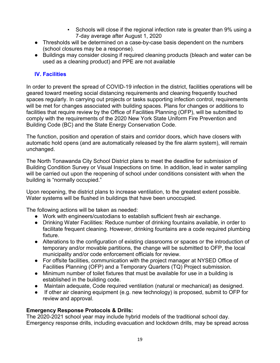- Schools will close if the regional infection rate is greater than 9% using a 7-day average after August 1, 2020
- Thresholds will be determined on a case-by-case basis dependent on the numbers (school closures may be a response).
- Buildings may consider closing if required cleaning products (bleach and water can be used as a cleaning product) and PPE are not available

# **IV. Facilities**

In order to prevent the spread of COVID-19 infection in the district, facilities operations will be geared toward meeting social distancing requirements and cleaning frequently touched spaces regularly. In carrying out projects or tasks supporting infection control, requirements will be met for changes associated with building spaces. Plans for changes or additions to facilities that require review by the Office of Facilities Planning (OFP), will be submitted to comply with the requirements of the 2020 New York State Uniform Fire Prevention and Building Code (BC) and the State Energy Conservation Code.

The function, position and operation of stairs and corridor doors, which have closers with automatic hold opens (and are automatically released by the fire alarm system), will remain unchanged.

The North Tonawanda City School District plans to meet the deadline for submission of Building Condition Survey or Visual Inspections on time. In addition, lead in water sampling will be carried out upon the reopening of school under conditions consistent with when the building is "normally occupied."

Upon reopening, the district plans to increase ventilation, to the greatest extent possible. Water systems will be flushed in buildings that have been unoccupied.

The following actions will be taken as needed:

- Work with engineers/custodians to establish sufficient fresh air exchange.
- Drinking Water Facilities: Reduce number of drinking fountains available, in order to facilitate frequent cleaning. However, drinking fountains are a code required plumbing fixture.
- Alterations to the configuration of existing classrooms or spaces or the introduction of temporary and/or movable partitions, the change will be submitted to OFP, the local municipality and/or code enforcement officials for review.
- For offsite facilities, communication with the project manager at NYSED Office of Facilities Planning (OFP) and a Temporary Quarters (TQ) Project submission.
- Minimum number of toilet fixtures that must be available for use in a building is established in the building code.
- Maintain adequate, Code required ventilation (natural or mechanical) as designed.
- If other air cleaning equipment (e.g. new technology) is proposed, submit to OFP for review and approval.

# **Emergency Response Protocols & Drills:**

The 2020-2021 school year may include hybrid models of the traditional school day. Emergency response drills, including evacuation and lockdown drills, may be spread across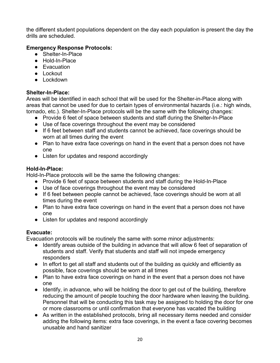the different student populations dependent on the day each population is present the day the drills are scheduled.

# **Emergency Response Protocols:**

- Shelter-In-Place
- Hold-In-Place
- Evacuation
- Lockout
- Lockdown

# **Shelter-In-Place:**

Areas will be identified in each school that will be used for the Shelter-in-Place along with areas that cannot be used for due to certain types of environmental hazards (i.e.: high winds, tornado, etc.). Shelter-In-Place protocols will be the same with the following changes:

- Provide 6 feet of space between students and staff during the Shelter-In-Place
- Use of face coverings throughout the event may be considered
- If 6 feet between staff and students cannot be achieved, face coverings should be worn at all times during the event
- Plan to have extra face coverings on hand in the event that a person does not have one
- Listen for updates and respond accordingly

# **Hold-In-Place:**

Hold-In-Place protocols will be the same the following changes:

- Provide 6 feet of space between students and staff during the Hold-In-Place
- Use of face coverings throughout the event may be considered
- If 6 feet between people cannot be achieved, face coverings should be worn at all times during the event
- Plan to have extra face coverings on hand in the event that a person does not have one
- Listen for updates and respond accordingly

# **Evacuate:**

Evacuation protocols will be routinely the same with some minor adjustments:

- Identify areas outside of the building in advance that will allow 6 feet of separation of students and staff. Verify that students and staff will not impede emergency responders
- In effort to get all staff and students out of the building as quickly and efficiently as possible, face coverings should be worn at all times
- Plan to have extra face coverings on hand in the event that a person does not have one
- Identify, in advance, who will be holding the door to get out of the building, therefore reducing the amount of people touching the door hardware when leaving the building. Personnel that will be conducting this task may be assigned to holding the door for one or more classrooms or until confirmation that everyone has vacated the building
- As written in the established protocols, bring all necessary items needed and consider adding the following items: extra face coverings, in the event a face covering becomes unusable and hand sanitizer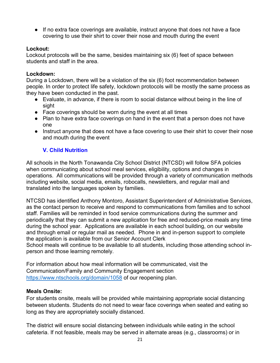● If no extra face coverings are available, instruct anyone that does not have a face covering to use their shirt to cover their nose and mouth during the event

## **Lockout:**

Lockout protocols will be the same, besides maintaining six (6) feet of space between students and staff in the area.

#### **Lockdown:**

During a Lockdown, there will be a violation of the six (6) foot recommendation between people. In order to protect life safety, lockdown protocols will be mostly the same process as they have been conducted in the past.

- Evaluate, in advance, if there is room to social distance without being in the line of sight
- Face coverings should be worn during the event at all times
- Plan to have extra face coverings on hand in the event that a person does not have one
- Instruct anyone that does not have a face covering to use their shirt to cover their nose and mouth during the event

## **V. Child Nutrition**

All schools in the North Tonawanda City School District (NTCSD) will follow SFA policies when communicating about school meal services, eligibility, options and changes in operations. All communications will be provided through a variety of communication methods including website, social media, emails, robocalls, newsletters, and regular mail and translated into the languages spoken by families.

NTCSD has identified Anthony Montoro, Assistant Superintendent of Administrative Services, as the contact person to receive and respond to communications from families and to school staff. Families will be reminded in food service communications during the summer and periodically that they can submit a new application for free and reduced-price meals any time during the school year. Applications are available in each school building, on our website and through email or regular mail as needed. Phone in and in-person support to complete the application is available from our Senior Account Clerk

School meals will continue to be available to all students, including those attending school inperson and those learning remotely.

For information about how meal information will be communicated, visit the Communication/Family and Community Engagement section <https://www.ntschools.org/domain/1058> of our reopening plan.

#### **Meals Onsite:**

For students onsite, meals will be provided while maintaining appropriate social distancing between students. Students do not need to wear face coverings when seated and eating so long as they are appropriately socially distanced.

The district will ensure social distancing between individuals while eating in the school cafeteria. If not feasible, meals may be served in alternate areas (e.g., classrooms) or in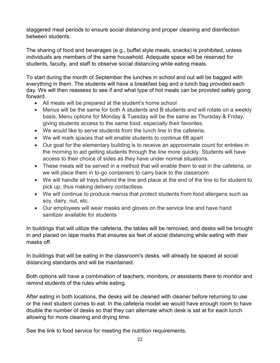staggered meal periods to ensure social distancing and proper cleaning and disinfection between students.

The sharing of food and beverages (e.g., buffet style meals, snacks) is prohibited, unless individuals are members of the same household. Adequate space will be reserved for students, faculty, and staff to observe social distancing while eating meals.

To start during the month of September the lunches in school and out will be bagged with everything in them. The students will have a breakfast bag and a lunch bag provided each day. We will then reassess to see if and what type of hot meals can be provided safely going forward.

- All meals will be prepared at the student's home school
- Menus will be the same for both A students and B students and will rotate on a weekly basis. Menu options for Monday & Tuesday will be the same as Thursday & Friday, giving students access to the same food, especially their favorites.
- We would like to serve students from the lunch line in the cafeteria.
- We will mark spaces that will enable students to continue 6ft apart
- Our goal for the elementary building is to receive an approximate count for entrées in the morning to aid getting students through the line more quickly. Students will have access to their choice of sides as they have under normal situations.
- These meals will be served in a method that will enable them to eat in the cafeteria, or we will place them in to-go containers to carry back to the classroom
- We will handle all trays behind the line and place at the end of the line to for student to pick up, thus making delivery contactless.
- We will continue to produce menus that protect students from food allergens such as soy, dairy, nut, etc.
- Our employees will wear masks and gloves on the service line and have hand sanitizer available for students

In buildings that will utilize the cafeteria, the tables will be removed, and desks will be brought in and placed on tape marks that ensures six feet of social distancing while eating with their masks off.

In buildings that will be eating in the classroom's desks, will already be spaced at social distancing standards and will be maintained.

Both options will have a combination of teachers, monitors, or assistants there to monitor and remind students of the rules while eating.

After eating in both locations, the desks will be cleaned with cleaner before returning to use or the next student comes to eat. In the cafeteria model we would have enough room to have double the number of desks so that they can alternate which desk is sat at for each lunch allowing for more cleaning and drying time.

See the link to food service for meeting the nutrition requirements.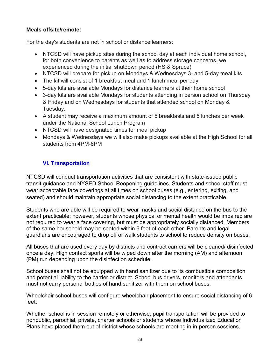## **Meals offsite/remote:**

For the day's students are not in school or distance learners:

- NTCSD will have pickup sites during the school day at each individual home school, for both convenience to parents as well as to address storage concerns, we experienced during the initial shutdown period (HS & Spruce)
- NTCSD will prepare for pickup on Mondays & Wednesdays 3- and 5-day meal kits.
- The kit will consist of 1 breakfast meal and 1 lunch meal per day
- 5-day kits are available Mondays for distance learners at their home school
- 3-day kits are available Mondays for students attending in person school on Thursday & Friday and on Wednesdays for students that attended school on Monday & Tuesday.
- A student may receive a maximum amount of 5 breakfasts and 5 lunches per week under the National School Lunch Program
- NTCSD will have designated times for meal pickup
- Mondays & Wednesdays we will also make pickups available at the High School for all students from 4PM-6PM

# **VI. Transportation**

NTCSD will conduct transportation activities that are consistent with state-issued public transit guidance and NYSED School Reopening guidelines. Students and school staff must wear acceptable face coverings at all times on school buses (e.g., entering, exiting, and seated) and should maintain appropriate social distancing to the extent practicable.

Students who are able will be required to wear masks and social distance on the bus to the extent practicable; however, students whose physical or mental health would be impaired are not required to wear a face covering, but must be appropriately socially distanced. Members of the same household may be seated within 6 feet of each other. Parents and legal guardians are encouraged to drop off or walk students to school to reduce density on buses.

All buses that are used every day by districts and contract carriers will be cleaned/ disinfected once a day. High contact sports will be wiped down after the morning (AM) and afternoon (PM) run depending upon the disinfection schedule.

School buses shall not be equipped with hand sanitizer due to its combustible composition and potential liability to the carrier or district. School bus drivers, monitors and attendants must not carry personal bottles of hand sanitizer with them on school buses.

Wheelchair school buses will configure wheelchair placement to ensure social distancing of 6 feet.

Whether school is in session remotely or otherwise, pupil transportation will be provided to nonpublic, parochial, private, charter schools or students whose Individualized Education Plans have placed them out of district whose schools are meeting in in-person sessions.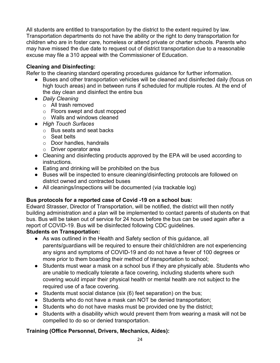All students are entitled to transportation by the district to the extent required by law. Transportation departments do not have the ability or the right to deny transportation for children who are in foster care, homeless or attend private or charter schools. Parents who may have missed the due date to request out of district transportation due to a reasonable excuse may file a 310 appeal with the Commissioner of Education.

# **Cleaning and Disinfecting:**

Refer to the cleaning standard operating procedures guidance for further information.

- Buses and other transportation vehicles will be cleaned and disinfected daily (focus on high touch areas) and in between runs if scheduled for multiple routes. At the end of the day clean and disinfect the entire bus
- *Daily Cleaning*
	- o All trash removed
	- o Floors swept and dust mopped
	- o Walls and windows cleaned
- *High Touch Surfaces*
	- o Bus seats and seat backs
	- o Seat belts
	- o Door handles, handrails
	- o Driver operator area
- Cleaning and disinfecting products approved by the EPA will be used according to instructions.
- Eating and drinking will be prohibited on the bus
- Buses will be inspected to ensure cleaning/disinfecting protocols are followed on district owned and contracted buses
- All cleanings/inspections will be documented (via trackable log)

# **Bus protocols for a reported case of Covid -19 on a school bus:**

Edward Strasser, Director of Transportation, will be notified, the district will then notify building administration and a plan will be implemented to contact parents of students on that bus. Bus will be taken out of service for 24 hours before the bus can be used again after a report of COVID-19. Bus will be disinfected following CDC guidelines.

# **Students on Transportation:**

- As was outlined in the Health and Safety section of this guidance, all parents/guardians will be required to ensure their child/children are not experiencing any signs and symptoms of COVID-19 and do not have a fever of 100 degrees or more prior to them boarding their method of transportation to school;
- Students must wear a mask on a school bus if they are physically able. Students who are unable to medically tolerate a face covering, including students where such covering would impair their physical health or mental health are not subject to the required use of a face covering.
- Students must social distance (six (6) feet separation) on the bus;
- Students who do not have a mask can NOT be denied transportation;
- Students who do not have masks must be provided one by the district;
- Students with a disability which would prevent them from wearing a mask will not be compelled to do so or denied transportation.

# **Training (Office Personnel, Drivers, Mechanics, Aides):**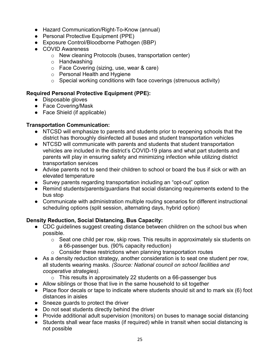- Hazard Communication/Right-To-Know (annual)
- Personal Protective Equipment (PPE)
- Exposure Control/Bloodborne Pathogen (BBP)
- COVID Awareness
	- o New cleaning Protocols (buses, transportation center)
	- o Handwashing
	- o Face Covering (sizing, use, wear & care)
	- o Personal Health and Hygiene
	- $\circ$  Special working conditions with face coverings (strenuous activity)

## **Required Personal Protective Equipment (PPE):**

- Disposable gloves
- Face Covering/Mask
- Face Shield (if applicable)

## **Transportation Communication:**

- NTCSD will emphasize to parents and students prior to reopening schools that the district has thoroughly disinfected all buses and student transportation vehicles
- NTCSD will communicate with parents and students that student transportation vehicles are included in the district's COVID-19 plans and what part students and parents will play in ensuring safety and minimizing infection while utilizing district transportation services
- Advise parents not to send their children to school or board the bus if sick or with an elevated temperature
- Survey parents regarding transportation including an "opt-out" option
- Remind students/parents/guardians that social distancing requirements extend to the bus stop
- Communicate with administration multiple routing scenarios for different instructional scheduling options (split session, alternating days, hybrid option)

## **Density Reduction, Social Distancing, Bus Capacity:**

- CDC guidelines suggest creating distance between children on the school bus when possible.
	- $\circ$  Seat one child per row, skip rows. This results in approximately six students on a 66-passenger bus. (90% capacity reduction)
	- $\circ$  Consider these restrictions when planning transportation routes
- As a density reduction strategy, another consideration is to seat one student per row, all students wearing masks. *(Source: National council on school facilities and cooperative strategies).*
	- $\circ$  This results in approximately 22 students on a 66-passenger bus
- Allow siblings or those that live in the same household to sit together
- Place floor decals or tape to indicate where students should sit and to mark six (6) foot distances in aisles
- Sneeze guards to protect the driver
- Do not seat students directly behind the driver
- Provide additional adult supervision (monitors) on buses to manage social distancing
- Students shall wear face masks (if required) while in transit when social distancing is not possible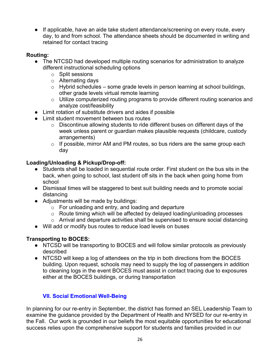• If applicable, have an aide take student attendance/screening on every route, every day, to and from school. The attendance sheets should be documented in writing and retained for contact tracing

## **Routing:**

- The NTCSD had developed multiple routing scenarios for administration to analyze different instructional scheduling options
	- o Split sessions
	- o Alternating days
	- $\circ$  Hybrid schedules some grade levels in person learning at school buildings, other grade levels virtual remote learning
	- $\circ$  Utilize computerized routing programs to provide different routing scenarios and analyze cost/feasibility
- Limit rotation of substitute drivers and aides if possible
- Limit student movement between bus routes
	- $\circ$  Discontinue allowing students to ride different buses on different days of the week unless parent or guardian makes plausible requests (childcare, custody arrangements)
	- $\circ$  If possible, mirror AM and PM routes, so bus riders are the same group each day

# **Loading/Unloading & Pickup/Drop-off:**

- Students shall be loaded in sequential route order. First student on the bus sits in the back, when going to school, last student off sits in the back when going home from school
- Dismissal times will be staggered to best suit building needs and to promote social distancing
- Adjustments will be made by buildings:
	- $\circ$  For unloading and entry, and loading and departure
	- o Route timing which will be affected by delayed loading/unloading processes
	- o Arrival and departure activities shall be supervised to ensure social distancing
- Will add or modify bus routes to reduce load levels on buses

# **Transporting to BOCES:**

- NTCSD will be transporting to BOCES and will follow similar protocols as previously described
- NTCSD will keep a log of attendees on the trip in both directions from the BOCES building. Upon request, schools may need to supply the log of passengers in addition to cleaning logs in the event BOCES must assist in contact tracing due to exposures either at the BOCES buildings, or during transportation

# **VII. Social Emotional Well-Being**

In planning for our re-entry in September, the district has formed an SEL Leadership Team to examine the guidance provided by the Department of Health and NYSED for our re-entry in the Fall. Our work is grounded in our beliefs the most equitable opportunities for educational success relies upon the comprehensive support for students and families provided in our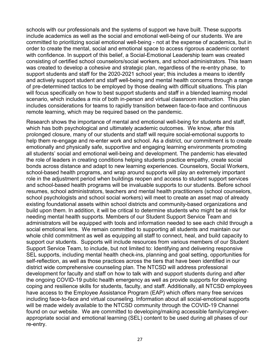schools with our professionals and the systems of support we have built. These supports include academics as well as the social and emotional well-being of our students. We are committed to prioritizing social emotional well-being - not at the expense of academics, but in order to create the mental, social and emotional space to access rigorous academic content with confidence. In support of this belief, a Social-Emotional Leadership team was created consisting of certified school counselors/social workers, and school administrators. This team was created to develop a cohesive and strategic plan, regardless of the re-entry phase, to support students and staff for the 2020-2021 school year; this includes a means to identify and actively support student and staff well-being and mental health concerns through a range of pre-determined tactics to be employed by those dealing with difficult situations. This plan will focus specifically on how to best support students and staff in a blended learning model scenario, which includes a mix of both in-person and virtual classroom instruction. This plan includes considerations for teams to rapidly transition between face-to-face and continuous remote learning, which may be required based on the pandemic.

Research shows the importance of mental and emotional well-being for students and staff, which has both psychological and ultimately academic outcomes. We know, after this prolonged closure, many of our students and staff will require social-emotional supports to help them re-engage and re-enter work and school. As a district, our commitment is to create emotionally and physically safe, supportive and engaging learning environments promoting all students' social and emotional well-being and development. The pandemic has elevated the role of leaders in creating conditions helping students practice empathy, create social bonds across distance and adapt to new learning experiences. Counselors, Social Workers, school-based health programs, and wrap around supports will play an extremely important role in the adjustment period when buildings reopen and access to student support services and school-based health programs will be invaluable supports to our students. Before school resumes, school administrators, teachers and mental health practitioners (school counselors, school psychologists and school social workers) will meet to create an asset map of already existing foundational assets within school districts and community-based organizations and build upon them. In addition, it will be critical to determine students who might be at risk for needing mental health supports. Members of our Student Support Service Team and administrators will be equipped with tools and information needed to see each child through a social emotional lens. We remain committed to supporting all students and maintain our whole child commitment as well as equipping all staff to connect, heal, and build capacity to support our students. Supports will include resources from various members of our Student Support Service Team, to include, but not limited to: Identifying and delivering responsive SEL supports, including mental health check-ins, planning and goal setting, opportunities for self-reflection, as well as those practices across the tiers that have been identified in our district wide comprehensive counseling plan. The NTCSD will address professional development for faculty and staff on how to talk with and support students during and after the ongoing COVID-19 public health emergency as well as provide supports for developing coping and resilience skills for students, faculty, and staff. Additionally, all NTCSD employees have access to the Employee Assistance Program (EAP) which offers many free services including face-to-face and virtual counseling. Information about all social-emotional supports will be made widely available to the NTCSD community through the COVID-19 Channel found on our website. We are committed to developing/making accessible family/caregiverappropriate social and emotional learning (SEL) content to be used during all phases of our re-entry.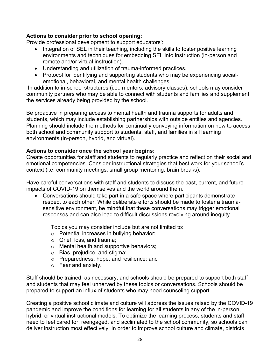## **Actions to consider prior to school opening:**

Provide professional development to support educators':

- Integration of SEL in their teaching, including the skills to foster positive learning environments and techniques for embedding SEL into instruction (in-person and remote and/or virtual instruction).
- Understanding and utilization of trauma-informed practices.
- Protocol for identifying and supporting students who may be experiencing socialemotional, behavioral, and mental health challenges.

In addition to in-school structures (i.e., mentors, advisory classes), schools may consider community partners who may be able to connect with students and families and supplement the services already being provided by the school.

Be proactive in preparing access to mental health and trauma supports for adults and students, which may include establishing partnerships with outside entities and agencies. Planning should include the methods for continually conveying information on how to access both school and community support to students, staff, and families in all learning environments (in-person, hybrid, and virtual).

## **Actions to consider once the school year begins:**

Create opportunities for staff and students to regularly practice and reflect on their social and emotional competencies. Consider instructional strategies that best work for your school's context (i.e. community meetings, small group mentoring, brain breaks).

Have careful conversations with staff and students to discuss the past, current, and future impacts of COVID-19 on themselves and the world around them.

• Conversations should take part in a safe space where participants demonstrate respect to each other. While deliberate efforts should be made to foster a traumasensitive environment, be mindful that these conversations may trigger emotional responses and can also lead to difficult discussions revolving around inequity.

Topics you may consider include but are not limited to:

- o Potential increases in bullying behavior;
- o Grief, loss, and trauma;
- o Mental health and supportive behaviors;
- o Bias, prejudice, and stigma;
- o Preparedness, hope, and resilience; and
- o Fear and anxiety.

Staff should be trained, as necessary, and schools should be prepared to support both staff and students that may feel unnerved by these topics or conversations. Schools should be prepared to support an influx of students who may need counseling support.

Creating a positive school climate and culture will address the issues raised by the COVID-19 pandemic and improve the conditions for learning for all students in any of the in-person, hybrid, or virtual instructional models. To optimize the learning process, students and staff need to feel cared for, reengaged, and acclimated to the school community, so schools can deliver instruction most effectively. In order to improve school culture and climate, districts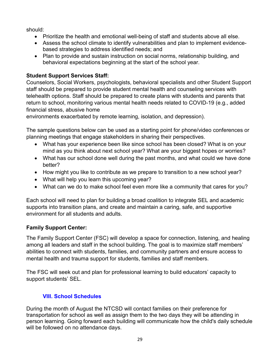should:

- Prioritize the health and emotional well-being of staff and students above all else.
- Assess the school climate to identify vulnerabilities and plan to implement evidencebased strategies to address identified needs; and
- Plan to provide and sustain instruction on social norms, relationship building, and behavioral expectations beginning at the start of the school year.

# **Student Support Services Staff:**

Counselors, Social Workers, psychologists, behavioral specialists and other Student Support staff should be prepared to provide student mental health and counseling services with telehealth options. Staff should be prepared to create plans with students and parents that return to school, monitoring various mental health needs related to COVID-19 (e.g., added financial stress, abusive home

environments exacerbated by remote learning, isolation, and depression).

The sample questions below can be used as a starting point for phone/video conferences or planning meetings that engage stakeholders in sharing their perspectives.

- What has your experience been like since school has been closed? What is on your mind as you think about next school year? What are your biggest hopes or worries?
- What has our school done well during the past months, and what could we have done better?
- How might you like to contribute as we prepare to transition to a new school year?
- What will help you learn this upcoming year?
- What can we do to make school feel even more like a community that cares for you?

Each school will need to plan for building a broad coalition to integrate SEL and academic supports into transition plans, and create and maintain a caring, safe, and supportive environment for all students and adults.

# **Family Support Center:**

The Family Support Center (FSC) will develop a space for connection, listening, and healing among all leaders and staff in the school building. The goal is to maximize staff members' abilities to connect with students, families, and community partners and ensure access to mental health and trauma support for students, families and staff members.

The FSC will seek out and plan for professional learning to build educators' capacity to support students' SEL.

# **VIII. School Schedules**

During the month of August the NTCSD will contact families on their preference for transportation for school as well as assign them to the two days they will be attending in person learning. Going forward each building will communicate how the child's daily schedule will be followed on no attendance days.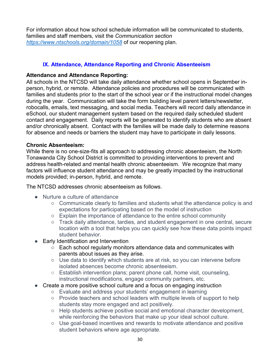For information about how school schedule information will be communicated to students, families and staff members, visit the *Communication section <https://www.ntschools.org/domain/1058>* of our reopening plan.

# **IX. Attendance, Attendance Reporting and Chronic Absenteeism**

## **Attendance and Attendance Reporting:**

All schools in the NTCSD will take daily attendance whether school opens in September inperson, hybrid, or remote. Attendance policies and procedures will be communicated with families and students prior to the start of the school year or if the instructional model changes during the year. Communication will take the form building level parent letters/newsletter, robocalls, emails, text messaging, and social media. Teachers will record daily attendance in eSchool, our student management system based on the required daily scheduled student contact and engagement. Daily reports will be generated to identify students who are absent and/or chronically absent. Contact with the families will be made daily to determine reasons for absence and needs or barriers the student may have to participate in daily lessons.

## **Chronic Absenteeism:**

While there is no one-size-fits all approach to addressing chronic absenteeism, the North Tonawanda City School District is committed to providing interventions to prevent and address health-related and mental health chronic absenteeism. We recognize that many factors will influence student attendance and may be greatly impacted by the instructional models provided; in-person, hybrid, and remote.

The NTCSD addresses chronic absenteeism as follows.

- Nurture a culture of attendance
	- Communicate clearly to families and students what the attendance policy is and expectations for participating based on the model of instruction
	- Explain the importance of attendance to the entire school community
	- Track daily attendance, tardies, and student engagement in one central, secure location with a tool that helps you can quickly see how these data points impact student behavior.
- Early Identification and Intervention
	- Each school regularly monitors attendance data and communicates with parents about issues as they arise.
	- Use data to identify which students are at risk, so you can intervene before isolated absences become chronic absenteeism.
	- Establish intervention plans; parent phone call, home visit, counseling, instructional modifications, engage community partners, etc.
- Create a more positive school culture and a focus on engaging instruction
	- Evaluate and address your students' engagement in learning
	- Provide teachers and school leaders with multiple levels of support to help students stay more engaged and act positively.
	- Help students achieve positive social and emotional character development, while reinforcing the behaviors that make up your ideal school culture.
	- Use goal-based incentives and rewards to motivate attendance and positive student behaviors where age appropriate.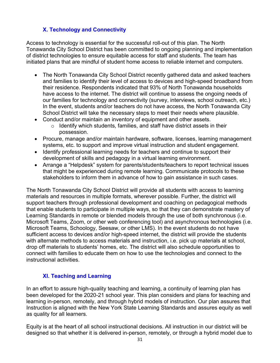# **X. Technology and Connectivity**

Access to technology is essential for the successful roll-out of this plan. The North Tonawanda City School District has been committed to ongoing planning and implementation of district technologies to ensure equitable access for staff and students. The team has initiated plans that are mindful of student home access to reliable internet and computers.

- The North Tonawanda City School District recently gathered data and asked teachers and families to identify their level of access to devices and high-speed broadband from their residence. Respondents indicated that 93% of North Tonawanda households have access to the internet. The district will continue to assess the ongoing needs of our families for technology and connectivity (survey, interviews, school outreach, etc.) In the event, students and/or teachers do not have access, the North Tonawanda City School District will take the necessary steps to meet their needs where plausible.
- Conduct and/or maintain an inventory of equipment and other assets.
	- $\circ$  Identify which students, families, and staff have district assets in their possession.
- Procure, manage and/or maintain hardware, software, licenses, learning management systems, etc. to support and improve virtual instruction and student engagement.
- Identify professional learning needs for teachers and continue to support their development of skills and pedagogy in a virtual learning environment.
- Arrange a "Helpdesk" system for parents/students/teachers to report technical issues that might be experienced during remote learning. Communicate protocols to these stakeholders to inform them in advance of how to gain assistance in such cases.

The North Tonawanda City School District will provide all students with access to learning materials and resources in multiple formats, wherever possible. Further, the district will support teachers through professional development and coaching on pedagogical methods that enable students to participate in multiple ways, so that they can demonstrate mastery of Learning Standards in remote or blended models through the use of both synchronous (i.e. Microsoft Teams, Zoom, or other web conferencing tool) and asynchronous technologies (i.e. Microsoft Teams, Schoology, Seesaw, or other LMS). In the event students do not have sufficient access to devices and/or high-speed internet, the district will provide the students with alternate methods to access materials and instruction, i.e. pick up materials at school, drop off materials to students' homes, etc. The district will also schedule opportunities to connect with families to educate them on how to use the technologies and connect to the instructional activities.

# **XI. Teaching and Learning**

In an effort to assure high-quality teaching and learning, a continuity of learning plan has been developed for the 2020-21 school year. This plan considers and plans for teaching and learning in-person, remotely, and through hybrid models of instruction. Our plan assures that Instruction is aligned with the New York State Learning Standards and assures equity as well as quality for all learners.

Equity is at the heart of all school instructional decisions. All instruction in our district will be designed so that whether it is delivered in-person, remotely, or through a hybrid model due to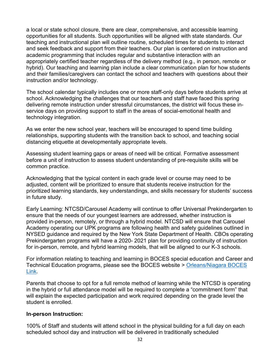a local or state school closure, there are clear, comprehensive, and accessible learning opportunities for all students. Such opportunities will be aligned with state standards. Our teaching and instructional plan will outline routine, scheduled times for students to interact and seek feedback and support from their teachers. Our plan is centered on instruction and academic programming that includes regular and substantive interaction with an appropriately certified teacher regardless of the delivery method (e.g., in person, remote or hybrid). Our teaching and learning plan include a clear communication plan for how students and their families/caregivers can contact the school and teachers with questions about their instruction and/or technology.

The school calendar typically includes one or more staff-only days before students arrive at school. Acknowledging the challenges that our teachers and staff have faced this spring delivering remote instruction under stressful circumstances, the district will focus these inservice days on providing support to staff in the areas of social-emotional health and technology integration.

As we enter the new school year, teachers will be encouraged to spend time building relationships, supporting students with the transition back to school, and teaching social distancing etiquette at developmentally appropriate levels.

Assessing student learning gaps or areas of need will be critical. Formative assessment before a unit of instruction to assess student understanding of pre-requisite skills will be common practice.

Acknowledging that the typical content in each grade level or course may need to be adjusted, content will be prioritized to ensure that students receive instruction for the prioritized learning standards, key understandings, and skills necessary for students' success in future study.

Early Learning: NTCSD/Carousel Academy will continue to offer Universal Prekindergarten to ensure that the needs of our youngest learners are addressed, whether instruction is provided in-person, remotely, or through a hybrid model. NTCSD will ensure that Carousel Academy operating our UPK programs are following health and safety guidelines outlined in NYSED guidance and required by the New York State Department of Health. CBOs operating Prekindergarten programs will have a 2020- 2021 plan for providing continuity of instruction for in-person, remote, and hybrid learning models, that will be aligned to our K-3 schools.

For information relating to teaching and learning in BOCES special education and Career and Technical Education programs, please see the BOCES website > [Orleans/Niagara BOCES](https://www.onboces.org/)  [Link.](https://www.onboces.org/)

Parents that choose to opt for a full remote method of learning while the NTCSD is operating in the hybrid or full attendance model will be required to complete a "commitment form" that will explain the expected participation and work required depending on the grade level the student is enrolled.

#### **In-person Instruction:**

100% of Staff and students will attend school in the physical building for a full day on each scheduled school day and instruction will be delivered in traditionally scheduled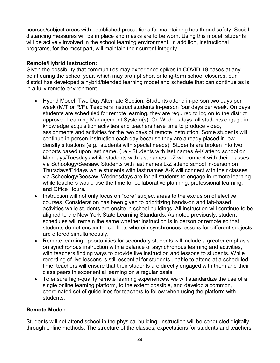courses/subject areas with established precautions for maintaining health and safety. Social distancing measures will be in place and masks are to be worn. Using this model, students will be actively involved in the school learning environment. In addition, instructional programs, for the most part, will maintain their current integrity.

# **Remote/Hybrid Instruction:**

Given the possibility that communities may experience spikes in COVID-19 cases at any point during the school year, which may prompt short or long-term school closures, our district has developed a hybrid/blended learning model and schedule that can continue as is in a fully remote environment.

- Hybrid Model: Two Day Alternate Section: Students attend in-person two days per week (M/T or R/F). Teachers instruct students in-person four days per week. On days students are scheduled for remote learning, they are required to log on to the district approved Learning Management System(s). On Wednesdays, all students engage in knowledge acquisition activities and teachers have time to produce video, assignments and activities for the two days of remote instruction. Some students will continue in-person instruction each day because they are already placed in low density situations (e.g., students with special needs). Students are broken into two cohorts based upon last name. (I.e - Students with last names A-K attend school on Mondays/Tuesdays while students with last names L-Z will connect with their classes via Schoology/Seesaw. Students with last names L-Z attend school in-person on Thursdays/Fridays while students with last names A-K will connect with their classes via Schoology/Seesaw. Wednesdays are for all students to engage in remote learning while teachers would use the time for collaborative planning, professional learning, and Office Hours.
- Instruction will not only focus on "core" subject areas to the exclusion of elective courses. Consideration has been given to prioritizing hands-on and lab-based activities while students are onsite in school buildings. All instruction will continue to be aligned to the New York State Learning Standards. As noted previously, student schedules will remain the same whether instruction is in person or remote so that students do not encounter conflicts wherein synchronous lessons for different subjects are offered simultaneously.
- Remote learning opportunities for secondary students will include a greater emphasis on synchronous instruction with a balance of asynchronous learning and activities, with teachers finding ways to provide live instruction and lessons to students. While recording of live lessons is still essential for students unable to attend at a scheduled time, teachers will ensure that their students are directly engaged with them and their class peers in experiential learning on a regular basis.
- To ensure high-quality remote learning experiences, we will standardize the use of a single online learning platform, to the extent possible, and develop a common, coordinated set of guidelines for teachers to follow when using the platform with students.

## **Remote Model:**

Students will not attend school in the physical building. Instruction will be conducted digitally through online methods. The structure of the classes, expectations for students and teachers,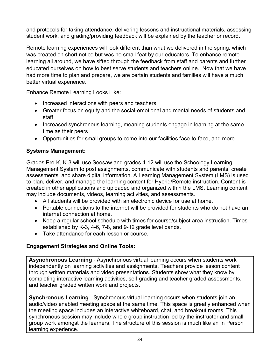and protocols for taking attendance, delivering lessons and instructional materials, assessing student work, and grading/providing feedback will be explained by the teacher or record.

Remote learning experiences will look different than what we delivered in the spring, which was created on short notice but was no small feat by our educators. To enhance remote learning all around, we have sifted through the feedback from staff and parents and further educated ourselves on how to best serve students and teachers online. Now that we have had more time to plan and prepare, we are certain students and families will have a much better virtual experience.

Enhance Remote Learning Looks Like:

- Increased interactions with peers and teachers
- Greater focus on equity and the social-emotional and mental needs of students and staff
- Increased synchronous learning, meaning students engage in learning at the same time as their peers
- Opportunities for small groups to come into our facilities face-to-face, and more.

# **Systems Management:**

Grades Pre-K, K-3 will use Seesaw and grades 4-12 will use the Schoology Learning Management System to post assignments, communicate with students and parents, create assessments, and share digital information. A Learning Management System (LMS) is used to plan, deliver, and manage the learning content for Hybrid/Remote instruction. Content is created in other applications and uploaded and organized within the LMS. Learning content may include documents, videos, learning activities, and assessments.

- All students will be provided with an electronic device for use at home.
- Portable connections to the internet will be provided for students who do not have an internet connection at home.
- Keep a regular school schedule with times for course/subject area instruction. Times established by K-3, 4-6, 7-8, and 9-12 grade level bands.
- Take attendance for each lesson or course.

# **Engagement Strategies and Online Tools:**

**Asynchronous Learning** - Asynchronous virtual learning occurs when students work independently on learning activities and assignments. Teachers provide lesson content through written materials and video presentations. Students show what they know by completing interactive learning activities, self-grading and teacher graded assessments, and teacher graded written work and projects.

**Synchronous Learning** - Synchronous virtual learning occurs when students join an audio/video enabled meeting space at the same time. This space is greatly enhanced when the meeting space includes an interactive whiteboard, chat, and breakout rooms. This synchronous session may include whole group instruction led by the instructor and small group work amongst the learners. The structure of this session is much like an In Person learning experience.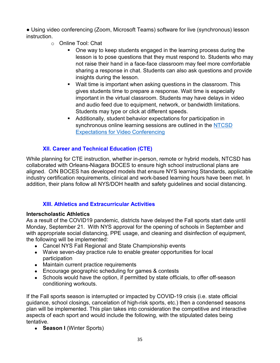● Using video conferencing (Zoom, Microsoft Teams) software for live (synchronous) lesson instruction.

- o Online Tool: Chat
	- One way to keep students engaged in the learning process during the lesson is to pose questions that they must respond to. Students who may not raise their hand in a face-face classroom may feel more comfortable sharing a response in chat. Students can also ask questions and provide insights during the lesson.
	- Wait time is important when asking questions in the classroom. This gives students time to prepare a response. Wait time is especially important in the virtual classroom. Students may have delays in video and audio feed due to equipment, network, or bandwidth limitations. Students may type or click at different speeds.
	- Additionally, student behavior expectations for participation in synchronous online learning sessions are outlined in the NTCSD [Expectations for Video Conferencing](https://ntonaschools-my.sharepoint.com/:w:/r/personal/mtambroni_ntschools_org/_layouts/15/Doc.aspx?sourcedoc=%7B43DFA75E-6964-4EBF-82DD-8D54BAA0A541%7D&file=NTCSD%20Expectations%20for%20Video%20Conferencing.docx&action=default&mobileredirect=true)

# **XII. Career and Technical Education (CTE)**

While planning for CTE instruction, whether in-person, remote or hybrid models, NTCSD has collaborated with Orleans-Niagara BOCES to ensure high school instructional plans are aligned. O/N BOCES has developed models that ensure NYS learning Standards, applicable industry certification requirements, clinical and work-based learning hours have been met. In addition, their plans follow all NYS/DOH health and safety guidelines and social distancing.

# **XIII. Athletics and Extracurricular Activities**

## **Interscholastic Athletics**

As a result of the COVID19 pandemic, districts have delayed the Fall sports start date until Monday, September 21. With NYS approval for the opening of schools in September and with appropriate social distancing, PPE usage, and cleaning and disinfection of equipment, the following will be implemented:

- Cancel NYS Fall Regional and State Championship events
- Waive seven-day practice rule to enable greater opportunities for local participation
- Maintain current practice requirements
- Encourage geographic scheduling for games & contests
- Schools would have the option, if permitted by state officials, to offer off-season conditioning workouts.

If the Fall sports season is interrupted or impacted by COVID-19 crisis (i.e. state official guidance, school closings, cancelation of high-risk sports, etc.) then a condensed seasons plan will be implemented. This plan takes into consideration the competitive and interactive aspects of each sport and would include the following, with the stipulated dates being tentative.

● **Season I** (Winter Sports)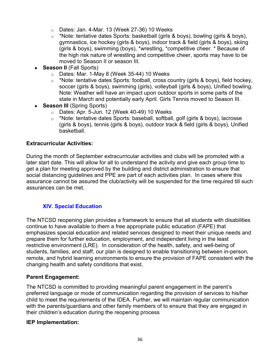- $\circ$  Dates: Jan. 4-Mar. 13 (Week 27-36) 10 Weeks
- o \*Note: tentative dates Sports: basketball (girls & boys), bowling (girls & boys), gymnastics, ice hockey (girls & boys), indoor track & field (girls & boys), skiing (girls & boys), swimming (boys), \*wrestling, \*competitive cheer. \* Because of the high risk nature of wrestling and competitive cheer, sports may have to be moved to Season II or season III.
- **Season II** (Fall Sports)
	- o Dates: Mar. 1-May 8 (Week 35-44) 10 Weeks
	- $\circ$  \*Note: tentative dates Sports: football, cross country (girls & boys), field hockey, soccer (girls & boys), swimming (girls), volleyball (girls & boys), Unified bowling. Note: Weather will have an impact upon outdoor sports in some parts of the state in March and potentially early April. Girls Tennis moved to Season III.
- **Season III** (Spring Sports)
	- $\circ$  Dates: Apr. 5-Jun. 12 (Week 40-49) 10 Weeks
	- $\circ$  \*Note: tentative dates Sports: baseball, softball, golf (girls & boys), lacrosse (girls & boys), tennis (girls & boys), outdoor track & field (girls & boys), Unified basketball.

## **Extracurricular Activities:**

During the month of September extracurricular activities and clubs will be promoted with a later start date. This will allow for all to understand the activity and give each group time to get a plan for meeting approved by the building and district administration to ensure that social distancing guidelines and PPE are part of each activities plan. In cases where this assurance cannot be assured the club/activity will be suspended for the time required till such assurances can be met.

## **XIV. Special Education**

The NTCSD reopening plan provides a framework to ensure that all students with disabilities continue to have available to them a free appropriate public education (FAPE) that emphasizes special education and related services designed to meet their unique needs and prepare them for further education, employment, and independent living in the least restrictive environment (LRE). In consideration of the health, safety, and well-being of students, families, and staff, our plan is designed to enable transitioning between in-person, remote, and hybrid learning environments to ensure the provision of FAPE consistent with the changing health and safety conditions that exist.

#### **Parent Engagement:**

The NTCSD is committed to providing meaningful parent engagement in the parent's preferred language or mode of communication regarding the provision of services to his/her child to meet the requirements of the IDEA. Further, we will maintain regular communication with the parents/guardians and other family members of to ensure that they are engaged in their children's education during the reopening process

#### **IEP Implementation:**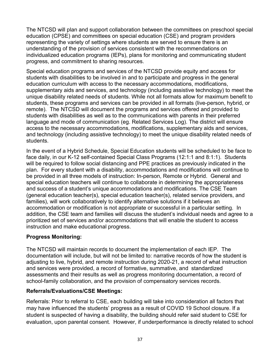The NTCSD will plan and support collaboration between the committees on preschool special education (CPSE) and committees on special education (CSE) and program providers representing the variety of settings where students are served to ensure there is an understanding of the provision of services consistent with the recommendations on individualized education programs (IEPs), plans for monitoring and communicating student progress, and commitment to sharing resources.

Special education programs and services of the NTCSD provide equity and access for students with disabilities to be involved in and to participate and progress in the general education curriculum with access to the necessary accommodations, modifications, supplementary aids and services, and technology (including assistive technology) to meet the unique disability related needs of students. While not all formats allow for maximum benefit to students, these programs and services can be provided in all formats (live-person, hybrid, or remote). The NTCSD will document the programs and services offered and provided to students with disabilities as well as to the communications with parents in their preferred language and mode of communication (eg. Related Services Log). The district will ensure access to the necessary accommodations, modifications, supplementary aids and services, and technology (including assistive technology) to meet the unique disability related needs of students.

In the event of a Hybrid Schedule, Special Education students will be scheduled to be face to face daily, in our K-12 self-contained Special Class Programs (12:1:1 and 8:1:1). Students will be required to follow social distancing and PPE practices as previously indicated in the plan. For every student with a disability, accommodations and modifications will continue to be provided in all three models of instruction: In-person, Remote or Hybrid. General and special education teachers will continue to collaborate in determining the appropriateness and success of a student's unique accommodations and modifications. The CSE Team (general education teacher(s), special education teacher(s), related service providers, and families), will work collaboratively to identify alternative solutions if it believes an accommodation or modification is not appropriate or successful in a particular setting. In addition, the CSE team and families will discuss the student's individual needs and agree to a prioritized set of services and/or accommodations that will enable the student to access instruction and make educational progress.

## **Progress Monitoring:**

The NTCSD will maintain records to document the implementation of each IEP. The documentation will include, but will not be limited to: narrative records of how the student is adjusting to live, hybrid, and remote instruction during 2020-21, a record of what instruction and services were provided, a record of formative, summative, and standardized assessments and their results as well as progress monitoring documentation, a record of school-family collaboration, and the provision of compensatory services records.

## **Referrals/Evaluations/CSE Meetings:**

Referrals: Prior to referral to CSE, each building will take into consideration all factors that may have influenced the students' progress as a result of COVID 19 School closure. If a student is suspected of having a disability, the building should refer said student to CSE for evaluation, upon parental consent. However, if underperformance is directly related to school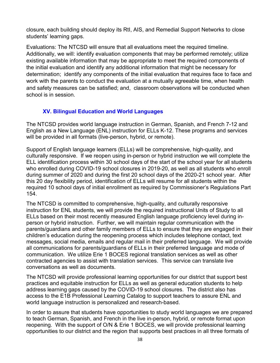closure, each building should deploy its RtI, AIS, and Remedial Support Networks to close students' learning gaps.

Evaluations: The NTCSD will ensure that all evaluations meet the required timeline. Additionally, we will: identify evaluation components that may be performed remotely; utilize existing available information that may be appropriate to meet the required components of the initial evaluation and identify any additional information that might be necessary for determination; identify any components of the initial evaluation that requires face to face and work with the parents to conduct the evaluation at a mutually agreeable time, when health and safety measures can be satisfied; and, classroom observations will be conducted when school is in session.

# **XV. Bilingual Education and World Languages**

The NTCSD provides world language instruction in German, Spanish, and French 7-12 and English as a New Language (ENL) instruction for ELLs K-12. These programs and services will be provided in all formats (live-person, hybrid, or remote).

Support of English language learners (ELLs) will be comprehensive, high-quality, and culturally responsive. If we reopen using in-person or hybrid instruction we will complete the ELL identification process within 30 school days of the start of the school year for all students who enrolled during COVID-19 school closures in 2019-20, as well as all students who enroll during summer of 2020 and during the first 20 school days of the 2020-21 school year. After this 20 day flexibility period, identification of ELLs will resume for all students within the required 10 school days of initial enrollment as required by Commissioner's Regulations Part 154.

The NTCSD is committed to comprehensive, high-quality, and culturally responsive instruction for ENL students, we will provide the required instructional Units of Study to all ELLs based on their most recently measured English language proficiency level during inperson or hybrid instruction. Further, we will maintain regular communication with the parents/guardians and other family members of ELLs to ensure that they are engaged in their children's education during the reopening process which includes telephone contact, text messages, social media, emails and regular mail in their preferred language. We will provide all communications for parents/guardians of ELLs in their preferred language and mode of communication. We utilize Erie 1 BOCES regional translation services as well as other contracted agencies to assist with translation services. This service can translate live conversations as well as documents.

The NTCSD will provide professional learning opportunities for our district that support best practices and equitable instruction for ELLs as well as general education students to help address learning gaps caused by the COVID-19 school closures. The district also has access to the E1B Professional Learning Catalog to support teachers to assure ENL and world language instruction is personalized and research-based.

In order to assure that students have opportunities to study world languages we are prepared to teach German, Spanish, and French in the live in-person, hybrid, or remote format upon reopening. With the support of O/N & Erie 1 BOCES, we will provide professional learning opportunities to our district and the region that supports best practices in all three formats of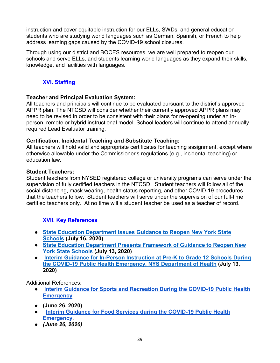instruction and cover equitable instruction for our ELLs, SWDs, and general education students who are studying world languages such as German, Spanish, or French to help address learning gaps caused by the COVID-19 school closures.

Through using our district and BOCES resources, we are well prepared to reopen our schools and serve ELLs, and students learning world languages as they expand their skills, knowledge, and facilities with languages.

# **XVI. Staffing**

# **Teacher and Principal Evaluation System:**

All teachers and principals will continue to be evaluated pursuant to the district's approved APPR plan. The NTCSD will consider whether their currently approved APPR plans may need to be revised in order to be consistent with their plans for re-opening under an inperson, remote or hybrid instructional model. School leaders will continue to attend annually required Lead Evaluator training.

# **Certification, Incidental Teaching and Substitute Teaching:**

All teachers will hold valid and appropriate certificates for teaching assignment, except where otherwise allowable under the Commissioner's regulations (e.g., incidental teaching) or education law.

# **Student Teachers:**

Student teachers from NYSED registered college or university programs can serve under the supervision of fully certified teachers in the NTCSD. Student teachers will follow all of the social distancing, mask wearing, health status reporting, and other COVID-19 procedures that the teachers follow. Student teachers will serve under the supervision of our full-time certified teachers only. At no time will a student teacher be used as a teacher of record.

# **XVII. Key References**

- **[State Education Department Issues Guidance to Reopen New York State](http://www.nysed.gov/news/2020/state-education-department-issues-guidance-reopen-new-york-state-schools)  [Schools](http://www.nysed.gov/news/2020/state-education-department-issues-guidance-reopen-new-york-state-schools) (July 16, 2020)**
- **[State Education Department Presents Framework of Guidance to Reopen New](http://www.nysed.gov/news/2020/state-education-department-presents-framework-guidance-reopen-new-york-state-schools)  [York State Schools](http://www.nysed.gov/news/2020/state-education-department-presents-framework-guidance-reopen-new-york-state-schools) (July 13, 2020)**
- **[I](https://www.governor.ny.gov/sites/governor.ny.gov/files/atoms/files/Pre-K_to_Grade_12_Schools_MasterGuidence.pdf)nterim [Guidance for In-Person Instruction at Pre-K to Grade 12 Schools During](https://www.governor.ny.gov/sites/governor.ny.gov/files/atoms/files/Pre-K_to_Grade_12_Schools_MasterGuidence.pdf)  [the COVID-19 Public Health Emergency, NYS Department of Health](https://www.governor.ny.gov/sites/governor.ny.gov/files/atoms/files/Pre-K_to_Grade_12_Schools_MasterGuidence.pdf) (July 13, 2020)**

Additional References:

- **[Interim Guidance for Sports and Recreation During the COVID-19 Public Health](https://www.governor.ny.gov/sites/governor.ny.gov/files/atoms/files/SportsAndRecreationMasterGuidance.pdf)  [Emergency](https://www.governor.ny.gov/sites/governor.ny.gov/files/atoms/files/SportsAndRecreationMasterGuidance.pdf)**
- **(June 26, 2020)**
- **[Interim Guidance for Food Services during the COVID-19 Public Health](https://www.governor.ny.gov/sites/governor.ny.gov/files/atoms/files/Indoor_and_Outdoor_Food_Services_Detailed_Guidelines.pdf)  [Emergency.](https://www.governor.ny.gov/sites/governor.ny.gov/files/atoms/files/Indoor_and_Outdoor_Food_Services_Detailed_Guidelines.pdf)**
- *(June 26, 2020)*